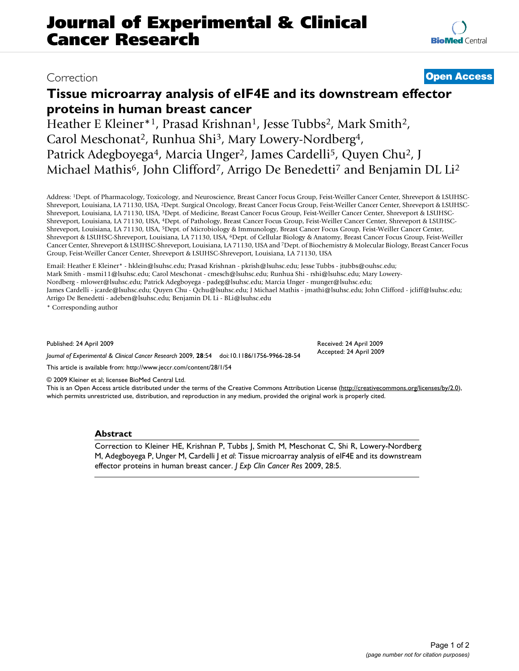**[BioMed](http://www.biomedcentral.com/)** Central

# **Tissue microarray analysis of eIF4E and its downstream effector proteins in human breast cancer**

Heather E Kleiner\*<sup>1</sup>, Prasad Krishnan<sup>1</sup>, Jesse Tubbs<sup>2</sup>, Mark Smith<sup>2</sup>, Carol Meschonat<sup>2</sup>, Runhua Shi<sup>3</sup>, Mary Lowery-Nordberg<sup>4</sup>, Patrick Adegboyega<sup>4</sup>, Marcia Unger<sup>2</sup>, James Cardelli<sup>5</sup>, Quyen Chu<sup>2</sup>, J Michael Mathis<sup>6</sup>, John Clifford<sup>7</sup>, Arrigo De Benedetti<sup>7</sup> and Benjamin DL Li<sup>2</sup>

Address: 1Dept. of Pharmacology, Toxicology, and Neuroscience, Breast Cancer Focus Group, Feist-Weiller Cancer Center, Shreveport & LSUHSC-Shreveport, Louisiana, LA 71130, USA, 2Dept. Surgical Oncology, Breast Cancer Focus Group, Feist-Weiller Cancer Center, Shreveport & LSUHSC-Shreveport, Louisiana, LA 71130, USA, 3Dept. of Medicine, Breast Cancer Focus Group, Feist-Weiller Cancer Center, Shreveport & LSUHSC-Shreveport, Louisiana, LA 71130, USA, 4Dept. of Pathology, Breast Cancer Focus Group, Feist-Weiller Cancer Center, Shreveport & LSUHSC-Shreveport, Louisiana, LA 71130, USA, 5Dept. of Microbiology & Immunology, Breast Cancer Focus Group, Feist-Weiller Cancer Center, Shreveport & LSUHSC-Shreveport, Louisiana, LA 71130, USA, 6Dept. of Cellular Biology & Anatomy, Breast Cancer Focus Group, Feist-Weiller Cancer Center, Shreveport & LSUHSC-Shreveport, Louisiana, LA 71130, USA and 7Dept. of Biochemistry & Molecular Biology, Breast Cancer Focus Group, Feist-Weiller Cancer Center, Shreveport & LSUHSC-Shreveport, Louisiana, LA 71130, USA

Email: Heather E Kleiner\* - hklein@lsuhsc.edu; Prasad Krishnan - pkrish@lsuhsc.edu; Jesse Tubbs - jtubbs@ouhsc.edu; Mark Smith - msmi11@lsuhsc.edu; Carol Meschonat - cmesch@lsuhsc.edu; Runhua Shi - rshi@lsuhsc.edu; Mary Lowery-Nordberg - mlower@lsuhsc.edu; Patrick Adegboyega - padeg@lsuhsc.edu; Marcia Unger - munger@lsuhsc.edu; James Cardelli - jcarde@lsuhsc.edu; Quyen Chu - Qchu@lsuhsc.edu; J Michael Mathis - jmathi@lsuhsc.edu; John Clifford - jcliff@lsuhsc.edu; Arrigo De Benedetti - adeben@lsuhsc.edu; Benjamin DL Li - BLi@lsuhsc.edu

\* Corresponding author

Published: 24 April 2009

*Journal of Experimental & Clinical Cancer Research* 2009, **28**:54 doi:10.1186/1756-9966-28-54

[This article is available from: http://www.jeccr.com/content/28/1/54](http://www.jeccr.com/content/28/1/54)

© 2009 Kleiner et al; licensee BioMed Central Ltd.

This is an Open Access article distributed under the terms of the Creative Commons Attribution License [\(http://creativecommons.org/licenses/by/2.0\)](http://creativecommons.org/licenses/by/2.0), which permits unrestricted use, distribution, and reproduction in any medium, provided the original work is properly cited.

Received: 24 April 2009 Accepted: 24 April 2009

## **Abstract**

Correction to Kleiner HE, Krishnan P, Tubbs J, Smith M, Meschonat C, Shi R, Lowery-Nordberg M, Adegboyega P, Unger M, Cardelli J *et al*: Tissue microarray analysis of eIF4E and its downstream effector proteins in human breast cancer. *J Exp Clin Cancer Res* 2009, 28:5.